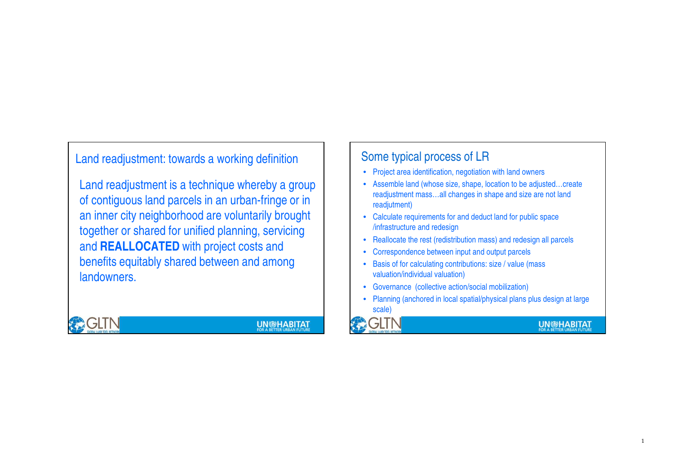Land readjustment: towards a working definition

Land readjustment is a technique whereby a group of contiguous land parcels in an urban-fringe or in an inner city neighborhood are voluntarily brought together or shared for unified planning, servicing and **REALLOCATED** with project costs and benefits equitably shared between and among landowners.



**UN@HABITAT** 

### Some typical process of LR

- Project area identification, negotiation with land owners
- Assemble land (whose size, shape, location to be adjusted…create readjustment mass…all changes in shape and size are not land readjutment)
- Calculate requirements for and deduct land for public space /infrastructure and redesign
- Reallocate the rest (redistribution mass) and redesign all parcels
- •Correspondence between input and output parcels
- Basis of for calculating contributions: size / value (mass valuation/individual valuation)
- Governance (collective action/social mobilization)
- Planning (anchored in local spatial/physical plans plus design at large scale)



**UN®HABITAT**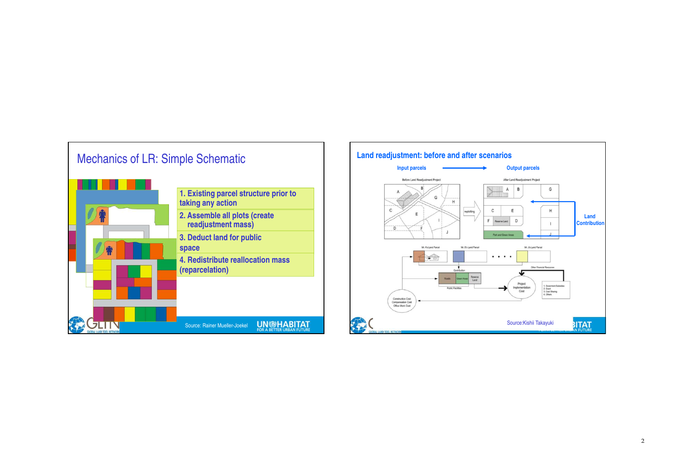

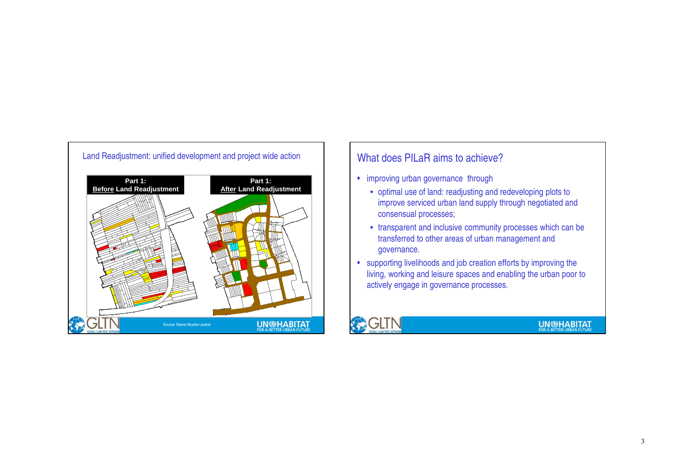

### What does PILaR aims to achieve?

- improving urban governance through
	- optimal use of land: readjusting and redeveloping plots to improve serviced urban land supply through negotiated and consensual processes;
	- transparent and inclusive community processes which can be transferred to other areas of urban management and governance.
- supporting livelihoods and job creation efforts by improving the living, working and leisure spaces and enabling the urban poor to actively engage in governance processes.



### **UN DHABITAT**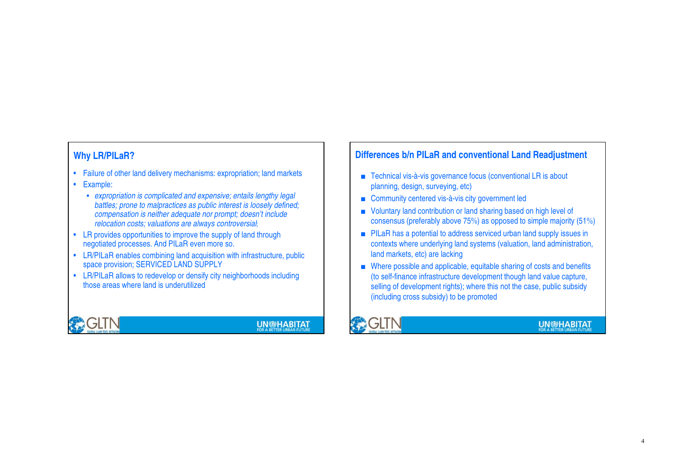- Failure of other land delivery mechanisms: expropriation; land markets
- Example:
	- expropriation is complicated and expensive; entails lengthy legal battles; prone to malpractices as public interest is loosely defined; compensation is neither adequate nor prompt; doesn't include relocation costs; valuations are always controversial;
- LR provides opportunities to improve the supply of land through negotiated processes. And PILaR even more so.
- LR/PILaR enables combining land acquisition with infrastructure, public space provision; SERVICED LAND SUPPLY
- LR/PILaR allows to redevelop or densify city neighborhoods including those areas where land is underutilized



## **UN®HABITAT**

### **Why LR/PILaR? Why LR/PILaR 2 and 2013 Differences b/n PILaR** and conventional Land Readjustment

- Technical vis-à-vis governance focus (conventional LR is about planning, design, surveying, etc)
- Community centered vis-à-vis city government led
- Voluntary land contribution or land sharing based on high level of consensus (preferably above 75%) as opposed to simple majority (51%)
- PILaR has a potential to address serviced urban land supply issues in contexts where underlying land systems (valuation, land administration, land markets, etc) are lacking
- Where possible and applicable, equitable sharing of costs and benefits (to self-finance infrastructure development though land value capture, selling of development rights); where this not the case, public subsidy (including cross subsidy) to be promoted



### **UN®HABITAT**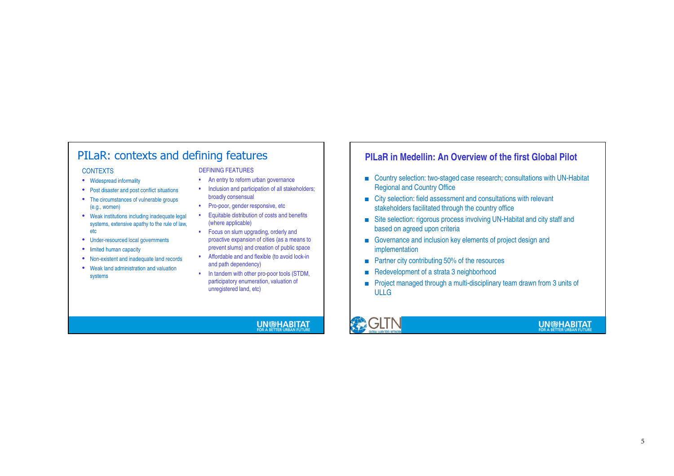### PILaR: contexts and defining features

#### **CONTEXTS**

- Widespread informality
- Post disaster and post conflict situations
- The circumstances of vulnerable groups (e.g., women)
- Weak institutions including inadequate legal systems, extensive apathy to the rule of law, etc
- Under-resourced local governments
- limited human capacity
- Non-existent and inadequate land records
- Weak land administration and valuation systems

### DEFINING FEATURES

- An entry to reform urban governance
- Inclusion and participation of all stakeholders; broadly consensual
- Pro-poor, gender responsive, etc
- Equitable distribution of costs and benefits (where applicable)
- Focus on slum upgrading, orderly and proactive expansion of cities (as a means to prevent slums) and creation of public space
- Affordable and and flexible (to avoid lock-in and path dependency)
- In tandem with other pro-poor tools (STDM, participatory enumeration, valuation of unregistered land, etc)

### **UN@HABITAT**

### **PILaR in Medellin: An Overview of the first Global Pilot**

- Country selection: two-staged case research; consultations with UN-Habitat Regional and Country Office
- City selection: field assessment and consultations with relevant stakeholders facilitated through the country office
- Site selection: rigorous process involving UN-Habitat and city staff and based on agreed upon criteria
- Governance and inclusion key elements of project design and implementation
- Partner city contributing 50% of the resources
- Redevelopment of a strata 3 neighborhood
- Project managed through a multi-disciplinary team drawn from 3 units of ULLG



### **UN®HABITAT**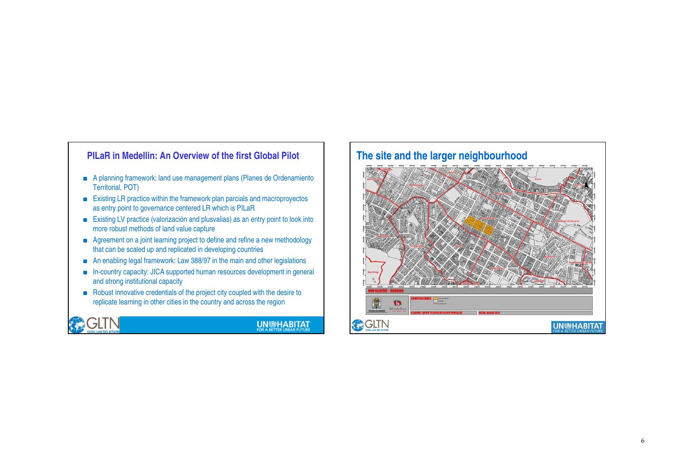### ■ A planning framework: land use management plans (Planes de Ordenamiento Territorial, POT) ■ Existing LR practice within the framework plan parcials and macroproyectos as entry point to governance centered LR which is PILaR■ Existing LV practice (valorización and plusvalias) as an entry point to look into more robust methods of land value capture■ Agreement on a joint learning project to define and refine a new methodology that can be scaled up and replicated in developing countries ■ An enabling legal framework: Law 388/97 in the main and other legislations ■ In-country capacity: JICA supported human resources development in general and strong institutional capacity■ Robust innovative credentials of the project city coupled with the desire to replicate learning in other cities in the country and across the region **PILaR in Medellin: An Overview of the first Global Pilot**



### **UN @HABITAT**

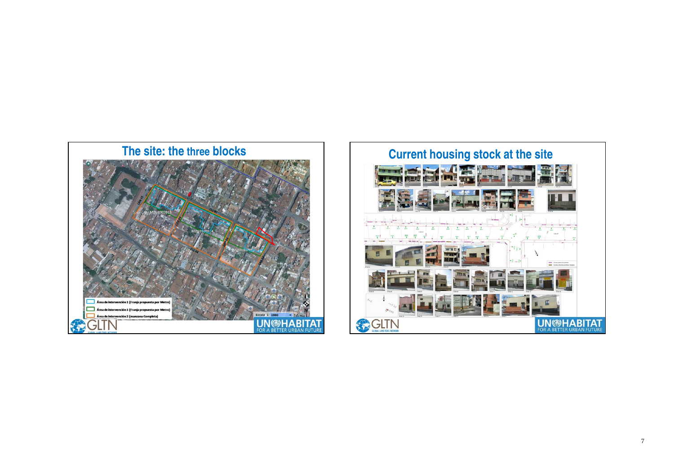